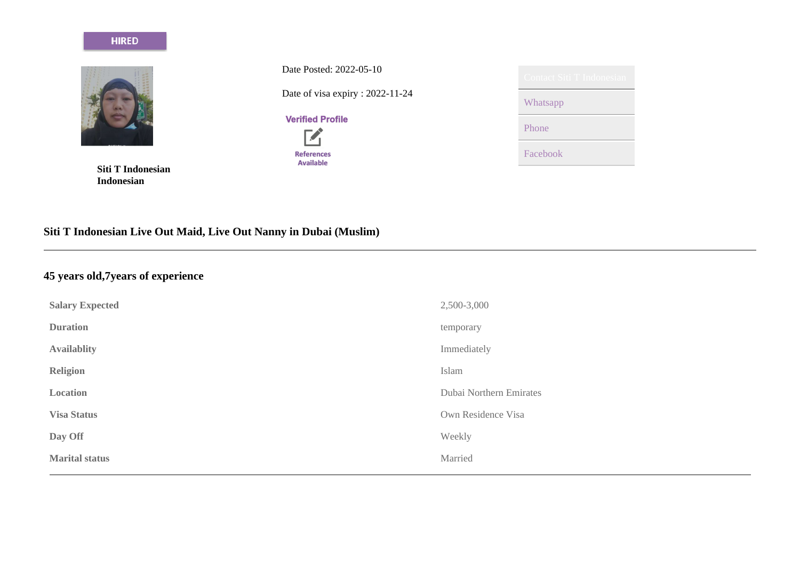#### **HIRED**



**Siti T Indonesian Indonesian**

Date Posted: 2022-05-10 Date of visa expiry : 2022-11-24

**Verified Profile** 



| Contact Siti T Indonesian |
|---------------------------|
| Whatsapp                  |
| Phone                     |
| Facebook                  |

# **Siti T Indonesian Live Out Maid, Live Out Nanny in Dubai (Muslim)**

# **45 years old,7years of experience**

| <b>Salary Expected</b> | 2,500-3,000             |
|------------------------|-------------------------|
| <b>Duration</b>        | temporary               |
| <b>Availablity</b>     | Immediately             |
| <b>Religion</b>        | Islam                   |
| Location               | Dubai Northern Emirates |
| <b>Visa Status</b>     | Own Residence Visa      |
| Day Off                | Weekly                  |
| <b>Marital status</b>  | Married                 |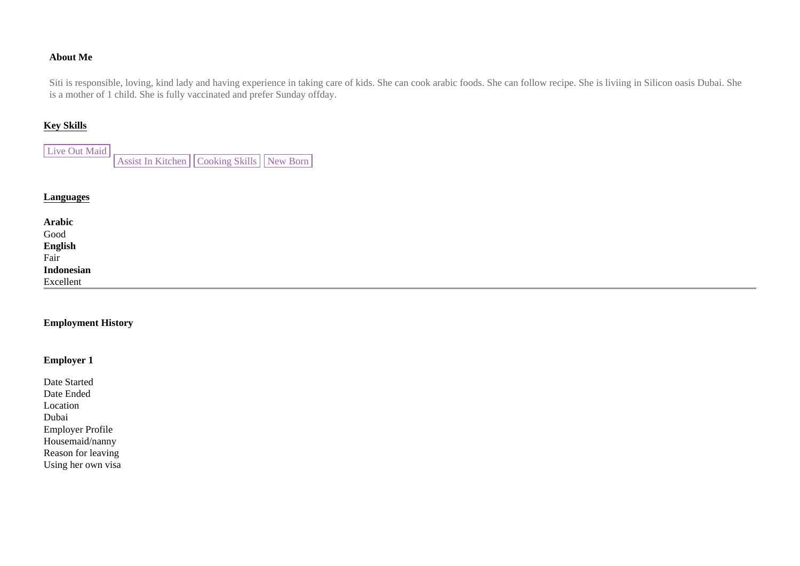## **About Me**

Siti is responsible, loving, kind lady and having experience in taking care of kids. She can cook arabic foods. She can follow recipe. She is liviing in Silicon oasis Dubai. She is a mother of 1 child. She is fully vaccinated and prefer Sunday offday.

# **Key Skills**

| Live Out Maid |                                               |  |
|---------------|-----------------------------------------------|--|
|               | Assist In Kitchen   Cooking Skills   New Born |  |

### **Languages**

| Arabic                                              |  |  |
|-----------------------------------------------------|--|--|
| Good<br><b>English</b><br>Fair<br><b>Indonesian</b> |  |  |
|                                                     |  |  |
|                                                     |  |  |
|                                                     |  |  |
| Excellent                                           |  |  |

### **Employment History**

# **Employer 1**

| Date Started            |
|-------------------------|
| Date Ended              |
| Location                |
| Dubai                   |
| <b>Employer Profile</b> |
| Housemaid/nanny         |
| Reason for leaving      |
| Using her own visa      |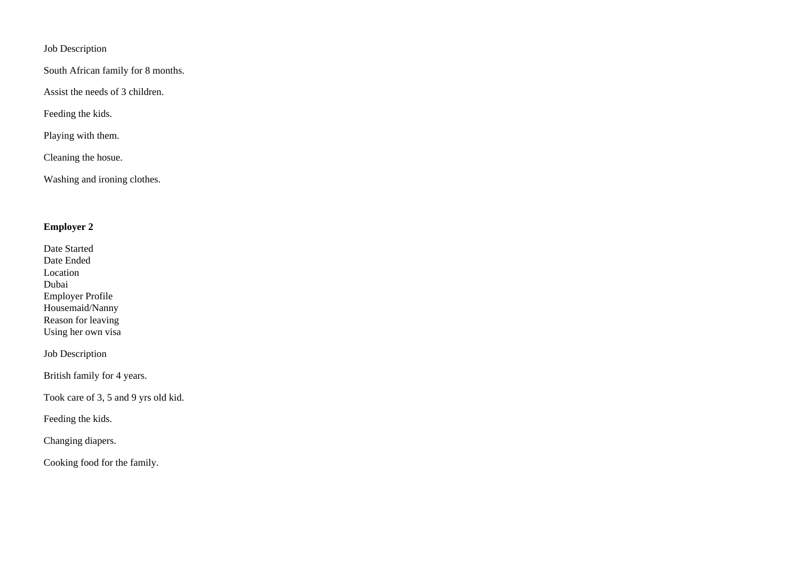Job Description

South African family for 8 months.

Assist the needs of 3 children.

Feeding the kids.

Playing with them.

Cleaning the hosue.

Washing and ironing clothes.

## **Employer 2**

Date Started Date Ended Location Dubai Employer Profile Housemaid/Nanny Reason for leaving Using her own visa

Job Description

British family for 4 years.

Took care of 3, 5 and 9 yrs old kid.

Feeding the kids.

Changing diapers.

Cooking food for the family.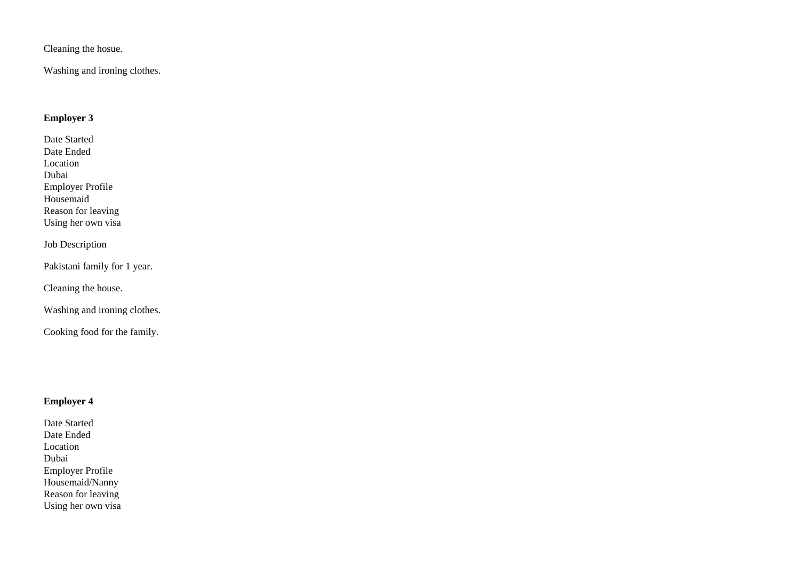Cleaning the hosue.

Washing and ironing clothes.

# **Employer 3**

Date Started Date Ended Location Dubai Employer Profile Housemaid Reason for leaving Using her own visa

# Job Description

Pakistani family for 1 year.

Cleaning the house.

Washing and ironing clothes.

Cooking food for the family.

# **Employer 4**

Date Started Date Ended Location Dubai Employer Profile Housemaid/Nanny Reason for leaving Using her own visa